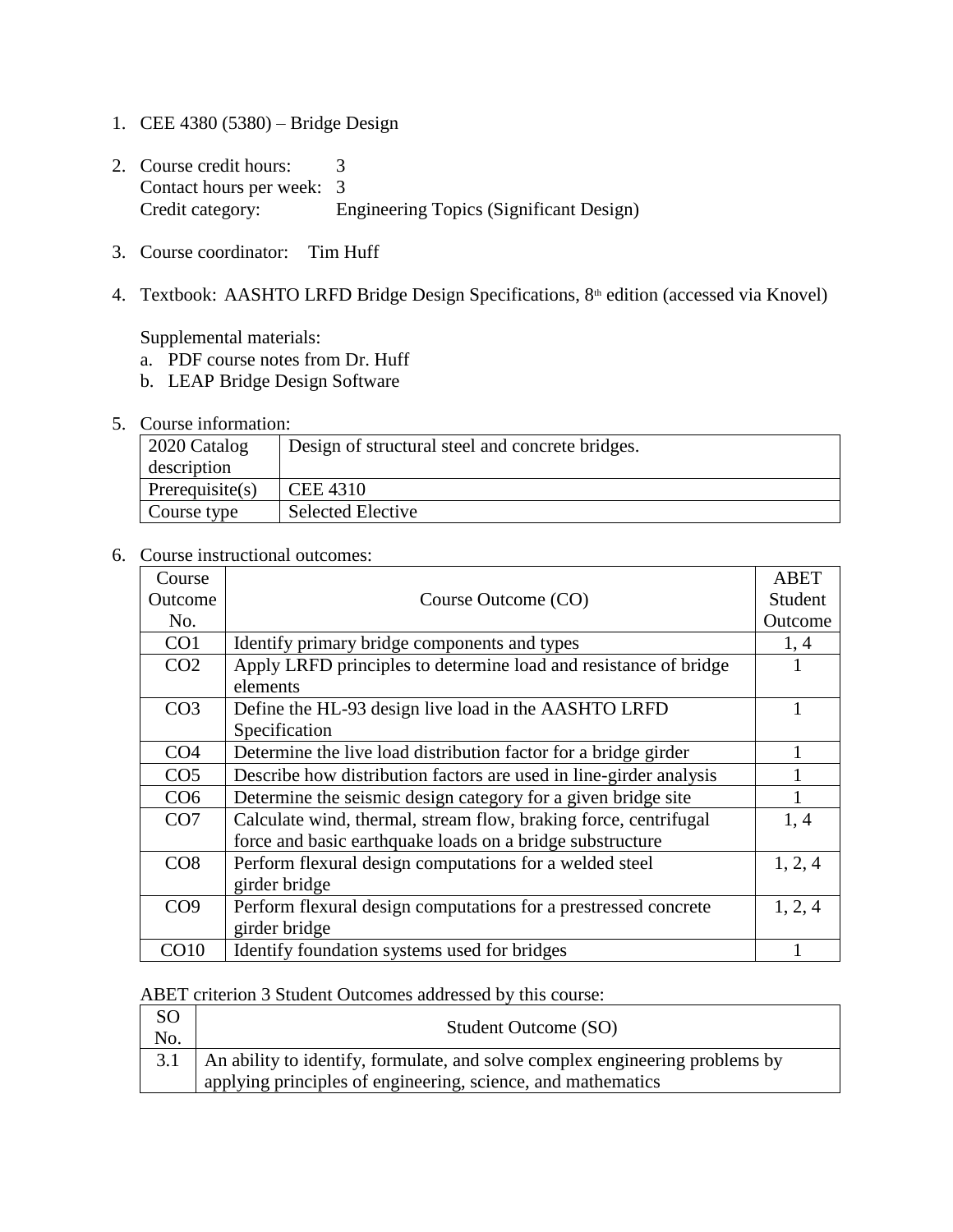- 1. CEE 4380 (5380) Bridge Design
- 2. Course credit hours: 3 Contact hours per week: 3 Credit category: Engineering Topics (Significant Design)
- 3. Course coordinator: Tim Huff
- 4. Textbook: AASHTO LRFD Bridge Design Specifications, 8<sup>th</sup> edition (accessed via Knovel)

Supplemental materials:

- a. PDF course notes from Dr. Huff
- b. LEAP Bridge Design Software
- 5. Course information:

| 2020 Catalog    | Design of structural steel and concrete bridges. |
|-----------------|--------------------------------------------------|
| description     |                                                  |
| Prerequisite(s) | <b>CEE 4310</b>                                  |
| Course type     | <b>Selected Elective</b>                         |

6. Course instructional outcomes:

| Course          |                                                                    | <b>ABET</b> |
|-----------------|--------------------------------------------------------------------|-------------|
| Outcome         | Course Outcome (CO)                                                | Student     |
| No.             |                                                                    | Outcome     |
| CO <sub>1</sub> | Identify primary bridge components and types                       | 1, 4        |
| CO <sub>2</sub> | Apply LRFD principles to determine load and resistance of bridge   |             |
|                 | elements                                                           |             |
| CO <sub>3</sub> | Define the HL-93 design live load in the AASHTO LRFD               |             |
|                 | Specification                                                      |             |
| CO <sub>4</sub> | Determine the live load distribution factor for a bridge girder    |             |
| CO <sub>5</sub> | Describe how distribution factors are used in line-girder analysis |             |
| CO <sub>6</sub> | Determine the seismic design category for a given bridge site      |             |
| CO7             | Calculate wind, thermal, stream flow, braking force, centrifugal   | 1, 4        |
|                 | force and basic earthquake loads on a bridge substructure          |             |
| CO8             | Perform flexural design computations for a welded steel            | 1, 2, 4     |
|                 | girder bridge                                                      |             |
| CO9             | Perform flexural design computations for a prestressed concrete    | 1, 2, 4     |
|                 | girder bridge                                                      |             |
| CO10            | Identify foundation systems used for bridges                       |             |

## ABET criterion 3 Student Outcomes addressed by this course:

| <sub>SO</sub><br>No. | Student Outcome (SO)                                                             |
|----------------------|----------------------------------------------------------------------------------|
|                      | 3.1 An ability to identify, formulate, and solve complex engineering problems by |
|                      | applying principles of engineering, science, and mathematics                     |